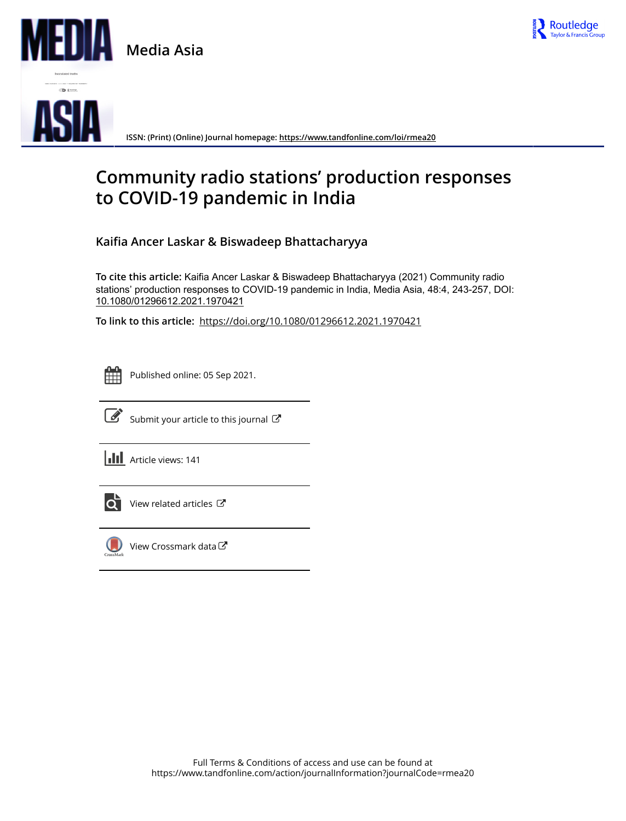

**Media Asia**



**ISSN: (Print) (Online) Journal homepage:<https://www.tandfonline.com/loi/rmea20>**

# **Community radio stations' production responses to COVID-19 pandemic in India**

**Kaifia Ancer Laskar & Biswadeep Bhattacharyya**

**To cite this article:** Kaifia Ancer Laskar & Biswadeep Bhattacharyya (2021) Community radio stations' production responses to COVID-19 pandemic in India, Media Asia, 48:4, 243-257, DOI: [10.1080/01296612.2021.1970421](https://www.tandfonline.com/action/showCitFormats?doi=10.1080/01296612.2021.1970421)

**To link to this article:** <https://doi.org/10.1080/01296612.2021.1970421>



Published online: 05 Sep 2021.



 $\overrightarrow{S}$  [Submit your article to this journal](https://www.tandfonline.com/action/authorSubmission?journalCode=rmea20&show=instructions)  $\overrightarrow{S}$ 

**III** Article views: 141



[View related articles](https://www.tandfonline.com/doi/mlt/10.1080/01296612.2021.1970421)  $\mathbb{Z}$ 



[View Crossmark data](http://crossmark.crossref.org/dialog/?doi=10.1080/01296612.2021.1970421&domain=pdf&date_stamp=2021-09-05)<sup>で</sup>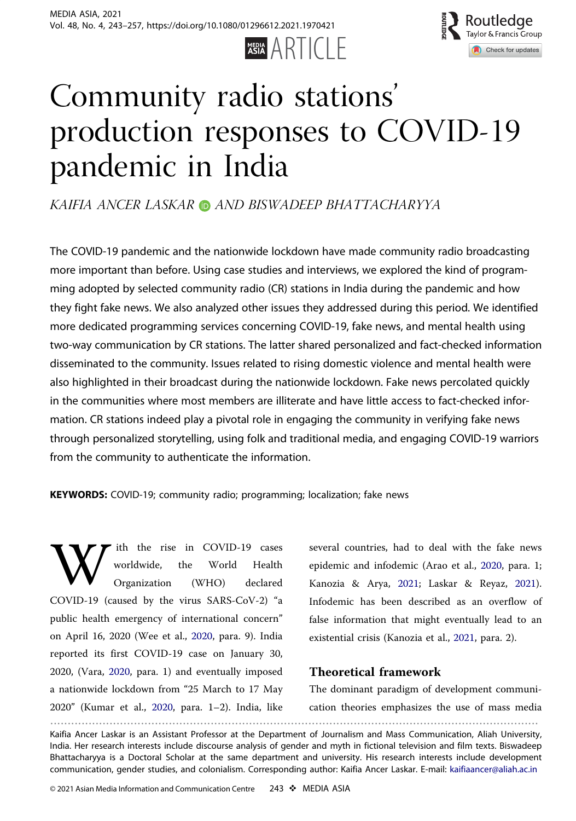



# <span id="page-1-0"></span>Community radio stations' production responses to COVID-19 pandemic in India

KAIFIA ANCER LASKAR **D** AND BISWADEEP BHATTACHARYYA

The COVID-19 pandemic and the nationwide lockdown have made community radio broadcasting more important than before. Using case studies and interviews, we explored the kind of programming adopted by selected community radio (CR) stations in India during the pandemic and how they fight fake news. We also analyzed other issues they addressed during this period. We identified more dedicated programming services concerning COVID-19, fake news, and mental health using two-way communication by CR stations. The latter shared personalized and fact-checked information disseminated to the community. Issues related to rising domestic violence and mental health were also highlighted in their broadcast during the nationwide lockdown. Fake news percolated quickly in the communities where most members are illiterate and have little access to fact-checked information. CR stations indeed play a pivotal role in engaging the community in verifying fake news through personalized storytelling, using folk and traditional media, and engaging COVID-19 warriors from the community to authenticate the information.

KEYWORDS: COVID-19; community radio; programming; localization; fake news

ith the rise in COVID-19 cases<br>worldwide, the World Health<br>Organization (WHO) declared worldwide, Organization COVID-19 (caused by the virus SARS-CoV-2) "a public health emergency of international concern" on April 16, 2020 (Wee et al., [2020,](#page-15-0) para. 9). India reported its first COVID-19 case on January 30, 2020, (Vara, [2020](#page-15-0), para. 1) and eventually imposed a nationwide lockdown from "25 March to 17 May 2020" (Kumar et al., [2020](#page-13-0), para. 1–2). India, like ............................................................................................................................................

several countries, had to deal with the fake news epidemic and infodemic (Arao et al., [2020,](#page-12-0) para. 1; Kanozia & Arya, [2021;](#page-13-0) Laskar & Reyaz, [2021](#page-13-0)). Infodemic has been described as an overflow of false information that might eventually lead to an existential crisis (Kanozia et al., [2021,](#page-13-0) para. 2).

# Theoretical framework

The dominant paradigm of development communication theories emphasizes the use of mass media

Kaifia Ancer Laskar is an Assistant Professor at the Department of Journalism and Mass Communication, Aliah University, India. Her research interests include discourse analysis of gender and myth in fictional television and film texts. Biswadeep Bhattacharyya is a Doctoral Scholar at the same department and university. His research interests include development communication, gender studies, and colonialism. Corresponding author: Kaifia Ancer Laskar. E-mail: kaifiaancer@aliah.ac.in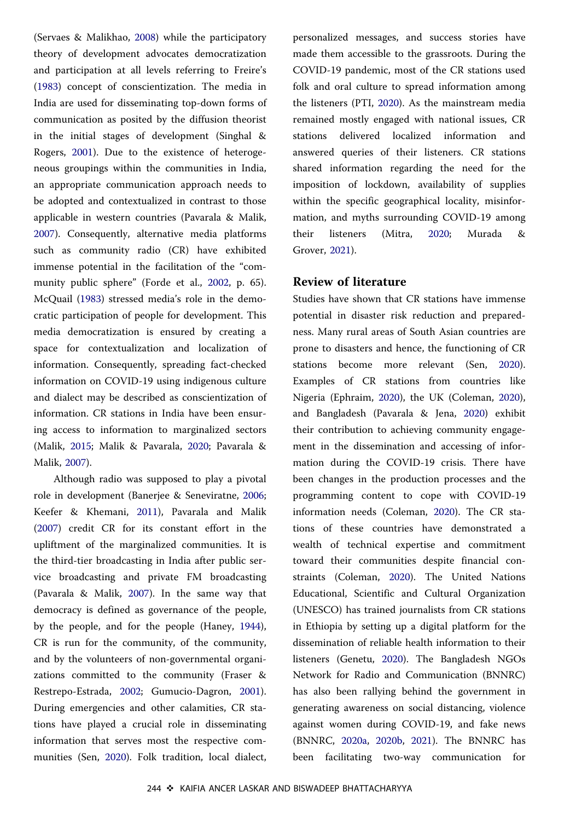<span id="page-2-0"></span>(Servaes & Malikhao, [2008](#page-15-0)) while the participatory theory of development advocates democratization and participation at all levels referring to Freire's ([1983\)](#page-13-0) concept of conscientization. The media in India are used for disseminating top-down forms of communication as posited by the diffusion theorist in the initial stages of development (Singhal & Rogers, [2001\)](#page-15-0). Due to the existence of heterogeneous groupings within the communities in India, an appropriate communication approach needs to be adopted and contextualized in contrast to those applicable in western countries (Pavarala & Malik, [2007\)](#page-14-0). Consequently, alternative media platforms such as community radio (CR) have exhibited immense potential in the facilitation of the "community public sphere" (Forde et al., [2002,](#page-13-0) p. 65). McQuail ([1983\)](#page-14-0) stressed media's role in the democratic participation of people for development. This media democratization is ensured by creating a space for contextualization and localization of information. Consequently, spreading fact-checked information on COVID-19 using indigenous culture and dialect may be described as conscientization of information. CR stations in India have been ensuring access to information to marginalized sectors (Malik, [2015](#page-14-0); Malik & Pavarala, [2020;](#page-14-0) Pavarala & Malik, [2007\)](#page-14-0).

Although radio was supposed to play a pivotal role in development (Banerjee & Seneviratne, [2006](#page-12-0); Keefer & Khemani, [2011](#page-13-0)), Pavarala and Malik ([2007\)](#page-14-0) credit CR for its constant effort in the upliftment of the marginalized communities. It is the third-tier broadcasting in India after public service broadcasting and private FM broadcasting (Pavarala & Malik, [2007\)](#page-14-0). In the same way that democracy is defined as governance of the people, by the people, and for the people (Haney, [1944](#page-13-0)), CR is run for the community, of the community, and by the volunteers of non-governmental organizations committed to the community (Fraser & Restrepo-Estrada, [2002;](#page-13-0) Gumucio-Dagron, [2001](#page-13-0)). During emergencies and other calamities, CR stations have played a crucial role in disseminating information that serves most the respective communities (Sen, [2020](#page-15-0)). Folk tradition, local dialect, personalized messages, and success stories have made them accessible to the grassroots. During the COVID-19 pandemic, most of the CR stations used folk and oral culture to spread information among the listeners (PTI, [2020\)](#page-14-0). As the mainstream media remained mostly engaged with national issues, CR stations delivered localized information and answered queries of their listeners. CR stations shared information regarding the need for the imposition of lockdown, availability of supplies within the specific geographical locality, misinformation, and myths surrounding COVID-19 among their listeners (Mitra, [2020;](#page-14-0) Murada & Grover, [2021\)](#page-14-0).

# Review of literature

Studies have shown that CR stations have immense potential in disaster risk reduction and preparedness. Many rural areas of South Asian countries are prone to disasters and hence, the functioning of CR stations become more relevant (Sen, [2020](#page-15-0)). Examples of CR stations from countries like Nigeria (Ephraim, [2020](#page-12-0)), the UK (Coleman, [2020](#page-12-0)), and Bangladesh (Pavarala & Jena, [2020](#page-14-0)) exhibit their contribution to achieving community engagement in the dissemination and accessing of information during the COVID-19 crisis. There have been changes in the production processes and the programming content to cope with COVID-19 information needs (Coleman, [2020\)](#page-12-0). The CR stations of these countries have demonstrated a wealth of technical expertise and commitment toward their communities despite financial constraints (Coleman, [2020](#page-12-0)). The United Nations Educational, Scientific and Cultural Organization (UNESCO) has trained journalists from CR stations in Ethiopia by setting up a digital platform for the dissemination of reliable health information to their listeners (Genetu, [2020](#page-13-0)). The Bangladesh NGOs Network for Radio and Communication (BNNRC) has also been rallying behind the government in generating awareness on social distancing, violence against women during COVID-19, and fake news (BNNRC, [2020a,](#page-12-0) [2020b,](#page-12-0) [2021](#page-12-0)). The BNNRC has been facilitating two-way communication for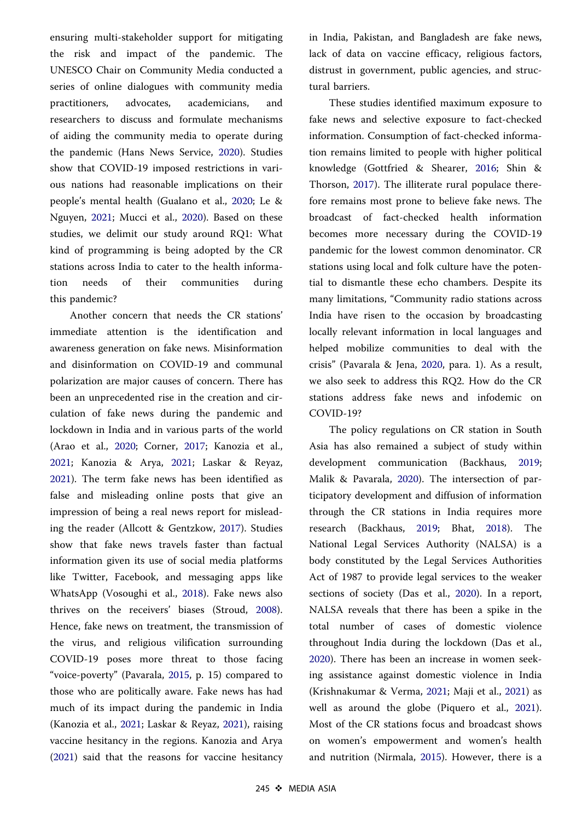<span id="page-3-0"></span>ensuring multi-stakeholder support for mitigating the risk and impact of the pandemic. The UNESCO Chair on Community Media conducted a series of online dialogues with community media practitioners, advocates, academicians, and researchers to discuss and formulate mechanisms of aiding the community media to operate during the pandemic (Hans News Service, [2020](#page-13-0)). Studies show that COVID-19 imposed restrictions in various nations had reasonable implications on their people's mental health (Gualano et al., [2020;](#page-13-0) Le & Nguyen, [2021](#page-14-0); Mucci et al., [2020\)](#page-14-0). Based on these studies, we delimit our study around RQ1: What kind of programming is being adopted by the CR stations across India to cater to the health information needs of their communities during this pandemic?

Another concern that needs the CR stations' immediate attention is the identification and awareness generation on fake news. Misinformation and disinformation on COVID-19 and communal polarization are major causes of concern. There has been an unprecedented rise in the creation and circulation of fake news during the pandemic and lockdown in India and in various parts of the world (Arao et al., [2020](#page-12-0); Corner, [2017;](#page-12-0) Kanozia et al., [2021;](#page-13-0) Kanozia & Arya, [2021;](#page-13-0) Laskar & Reyaz, [2021\)](#page-13-0). The term fake news has been identified as false and misleading online posts that give an impression of being a real news report for misleading the reader (Allcott & Gentzkow, [2017](#page-12-0)). Studies show that fake news travels faster than factual information given its use of social media platforms like Twitter, Facebook, and messaging apps like WhatsApp (Vosoughi et al., [2018](#page-15-0)). Fake news also thrives on the receivers' biases (Stroud, [2008](#page-15-0)). Hence, fake news on treatment, the transmission of the virus, and religious vilification surrounding COVID-19 poses more threat to those facing "voice-poverty" (Pavarala, [2015](#page-14-0), p. 15) compared to those who are politically aware. Fake news has had much of its impact during the pandemic in India (Kanozia et al., [2021](#page-13-0); Laskar & Reyaz, [2021\)](#page-13-0), raising vaccine hesitancy in the regions. Kanozia and Arya ([2021\)](#page-13-0) said that the reasons for vaccine hesitancy in India, Pakistan, and Bangladesh are fake news, lack of data on vaccine efficacy, religious factors, distrust in government, public agencies, and structural barriers.

These studies identified maximum exposure to fake news and selective exposure to fact-checked information. Consumption of fact-checked information remains limited to people with higher political knowledge (Gottfried & Shearer, [2016](#page-13-0); Shin & Thorson, [2017\)](#page-15-0). The illiterate rural populace therefore remains most prone to believe fake news. The broadcast of fact-checked health information becomes more necessary during the COVID-19 pandemic for the lowest common denominator. CR stations using local and folk culture have the potential to dismantle these echo chambers. Despite its many limitations, "Community radio stations across India have risen to the occasion by broadcasting locally relevant information in local languages and helped mobilize communities to deal with the crisis" (Pavarala & Jena, [2020](#page-14-0), para. 1). As a result, we also seek to address this RQ2. How do the CR stations address fake news and infodemic on COVID-19?

The policy regulations on CR station in South Asia has also remained a subject of study within development communication (Backhaus, [2019](#page-12-0); Malik & Pavarala, [2020](#page-14-0)). The intersection of participatory development and diffusion of information through the CR stations in India requires more research (Backhaus, [2019;](#page-12-0) Bhat, [2018](#page-12-0)). The National Legal Services Authority (NALSA) is a body constituted by the Legal Services Authorities Act of 1987 to provide legal services to the weaker sections of society (Das et al., [2020](#page-12-0)). In a report, NALSA reveals that there has been a spike in the total number of cases of domestic violence throughout India during the lockdown (Das et al., [2020\)](#page-12-0). There has been an increase in women seeking assistance against domestic violence in India (Krishnakumar & Verma, [2021](#page-13-0); Maji et al., [2021\)](#page-14-0) as well as around the globe (Piquero et al., [2021](#page-14-0)). Most of the CR stations focus and broadcast shows on women's empowerment and women's health and nutrition (Nirmala, [2015](#page-14-0)). However, there is a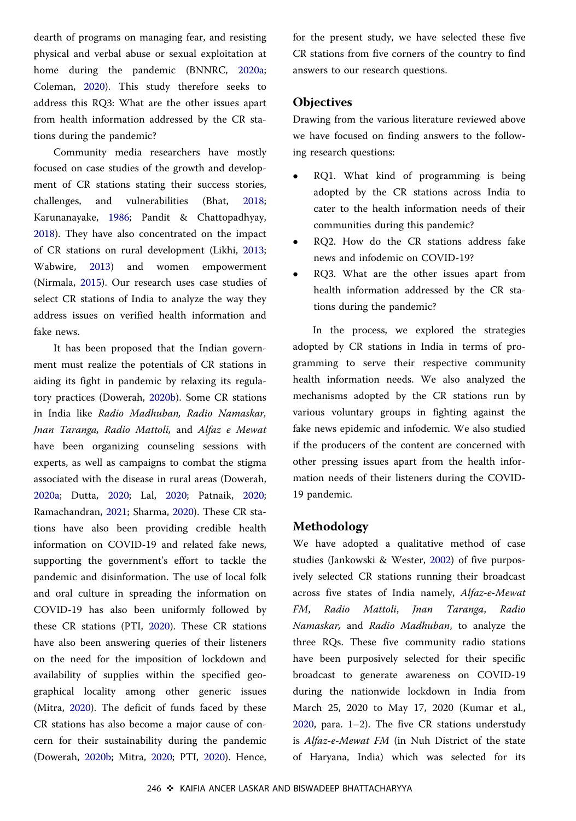<span id="page-4-0"></span>dearth of programs on managing fear, and resisting physical and verbal abuse or sexual exploitation at home during the pandemic (BNNRC, [2020a](#page-12-0); Coleman, [2020\)](#page-12-0). This study therefore seeks to address this RQ3: What are the other issues apart from health information addressed by the CR stations during the pandemic?

Community media researchers have mostly focused on case studies of the growth and development of CR stations stating their success stories, challenges, and vulnerabilities (Bhat, [2018](#page-12-0); Karunanayake, [1986;](#page-13-0) Pandit & Chattopadhyay, [2018\)](#page-14-0). They have also concentrated on the impact of CR stations on rural development (Likhi, [2013](#page-14-0); Wabwire, [2013\)](#page-15-0) and women empowerment (Nirmala, [2015\)](#page-14-0). Our research uses case studies of select CR stations of India to analyze the way they address issues on verified health information and fake news.

It has been proposed that the Indian government must realize the potentials of CR stations in aiding its fight in pandemic by relaxing its regulatory practices (Dowerah, [2020b\)](#page-12-0). Some CR stations in India like Radio Madhuban, Radio Namaskar, Jnan Taranga, Radio Mattoli, and Alfaz e Mewat have been organizing counseling sessions with experts, as well as campaigns to combat the stigma associated with the disease in rural areas (Dowerah, [2020a](#page-12-0); Dutta, [2020;](#page-12-0) Lal, [2020;](#page-13-0) Patnaik, [2020](#page-14-0); Ramachandran, [2021;](#page-15-0) Sharma, [2020\)](#page-15-0). These CR stations have also been providing credible health information on COVID-19 and related fake news, supporting the government's effort to tackle the pandemic and disinformation. The use of local folk and oral culture in spreading the information on COVID-19 has also been uniformly followed by these CR stations (PTI, [2020\)](#page-14-0). These CR stations have also been answering queries of their listeners on the need for the imposition of lockdown and availability of supplies within the specified geographical locality among other generic issues (Mitra, [2020\)](#page-14-0). The deficit of funds faced by these CR stations has also become a major cause of concern for their sustainability during the pandemic (Dowerah, [2020b](#page-12-0); Mitra, [2020;](#page-14-0) PTI, [2020\)](#page-14-0). Hence, for the present study, we have selected these five CR stations from five corners of the country to find answers to our research questions.

#### **Objectives**

Drawing from the various literature reviewed above we have focused on finding answers to the following research questions:

- RQ1. What kind of programming is being adopted by the CR stations across India to cater to the health information needs of their communities during this pandemic?
- RQ2. How do the CR stations address fake news and infodemic on COVID-19?
- RQ3. What are the other issues apart from health information addressed by the CR stations during the pandemic?

In the process, we explored the strategies adopted by CR stations in India in terms of programming to serve their respective community health information needs. We also analyzed the mechanisms adopted by the CR stations run by various voluntary groups in fighting against the fake news epidemic and infodemic. We also studied if the producers of the content are concerned with other pressing issues apart from the health information needs of their listeners during the COVID-19 pandemic.

## Methodology

We have adopted a qualitative method of case studies (Jankowski & Wester, [2002](#page-13-0)) of five purposively selected CR stations running their broadcast across five states of India namely, Alfaz-e-Mewat FM, Radio Mattoli, Jnan Taranga, Radio Namaskar, and Radio Madhuban, to analyze the three RQs. These five community radio stations have been purposively selected for their specific broadcast to generate awareness on COVID-19 during the nationwide lockdown in India from March 25, 2020 to May 17, 2020 (Kumar et al., [2020,](#page-13-0) para. 1–2). The five CR stations understudy is Alfaz-e-Mewat FM (in Nuh District of the state of Haryana, India) which was selected for its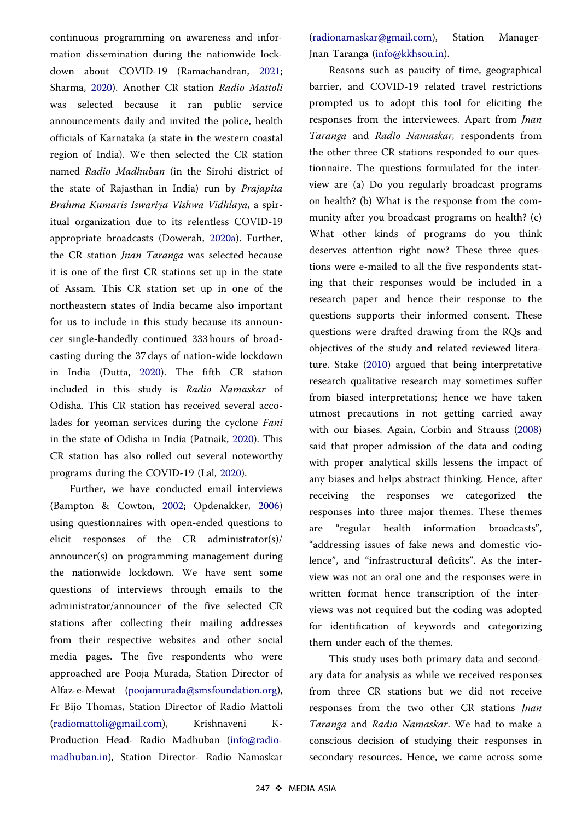<span id="page-5-0"></span>continuous programming on awareness and information dissemination during the nationwide lockdown about COVID-19 (Ramachandran, [2021](#page-15-0); Sharma, [2020](#page-15-0)). Another CR station Radio Mattoli was selected because it ran public service announcements daily and invited the police, health officials of Karnataka (a state in the western coastal region of India). We then selected the CR station named Radio Madhuban (in the Sirohi district of the state of Rajasthan in India) run by Prajapita Brahma Kumaris Iswariya Vishwa Vidhlaya, a spiritual organization due to its relentless COVID-19 appropriate broadcasts (Dowerah, [2020a\)](#page-12-0). Further, the CR station *Jnan Taranga* was selected because it is one of the first CR stations set up in the state of Assam. This CR station set up in one of the northeastern states of India became also important for us to include in this study because its announcer single-handedly continued 333 hours of broadcasting during the 37 days of nation-wide lockdown in India (Dutta, [2020\)](#page-12-0). The fifth CR station included in this study is Radio Namaskar of Odisha. This CR station has received several accolades for yeoman services during the cyclone Fani in the state of Odisha in India (Patnaik, [2020](#page-14-0)). This CR station has also rolled out several noteworthy programs during the COVID-19 (Lal, [2020\)](#page-13-0).

Further, we have conducted email interviews (Bampton & Cowton, [2002](#page-12-0); Opdenakker, [2006](#page-14-0)) using questionnaires with open-ended questions to elicit responses of the CR administrator(s)/ announcer(s) on programming management during the nationwide lockdown. We have sent some questions of interviews through emails to the administrator/announcer of the five selected CR stations after collecting their mailing addresses from their respective websites and other social media pages. The five respondents who were approached are Pooja Murada, Station Director of Alfaz-e-Mewat ([poojamurada@smsfoundation.org](mailto:poojamurada.org)), Fr Bijo Thomas, Station Director of Radio Mattoli ([radiomattoli@gmail.com\)](mailto:radiomattoli.com), Krishnaveni K-Production Head- Radio Madhuban [\(info@radio](mailto:info.in)[madhuban.in](mailto:info.in)), Station Director- Radio Namaskar ([radionamaskar@gmail.com](mailto:radionamaskar.com)), Station Manager-Jnan Taranga ([info@kkhsou.in](mailto:info.in)).

Reasons such as paucity of time, geographical barrier, and COVID-19 related travel restrictions prompted us to adopt this tool for eliciting the responses from the interviewees. Apart from Jnan Taranga and Radio Namaskar, respondents from the other three CR stations responded to our questionnaire. The questions formulated for the interview are (a) Do you regularly broadcast programs on health? (b) What is the response from the community after you broadcast programs on health? (c) What other kinds of programs do you think deserves attention right now? These three questions were e-mailed to all the five respondents stating that their responses would be included in a research paper and hence their response to the questions supports their informed consent. These questions were drafted drawing from the RQs and objectives of the study and related reviewed literature. Stake ([2010\)](#page-15-0) argued that being interpretative research qualitative research may sometimes suffer from biased interpretations; hence we have taken utmost precautions in not getting carried away with our biases. Again, Corbin and Strauss [\(2008](#page-12-0)) said that proper admission of the data and coding with proper analytical skills lessens the impact of any biases and helps abstract thinking. Hence, after receiving the responses we categorized the responses into three major themes. These themes are "regular health information broadcasts", "addressing issues of fake news and domestic violence", and "infrastructural deficits". As the interview was not an oral one and the responses were in written format hence transcription of the interviews was not required but the coding was adopted for identification of keywords and categorizing them under each of the themes.

This study uses both primary data and secondary data for analysis as while we received responses from three CR stations but we did not receive responses from the two other CR stations Jnan Taranga and Radio Namaskar. We had to make a conscious decision of studying their responses in secondary resources. Hence, we came across some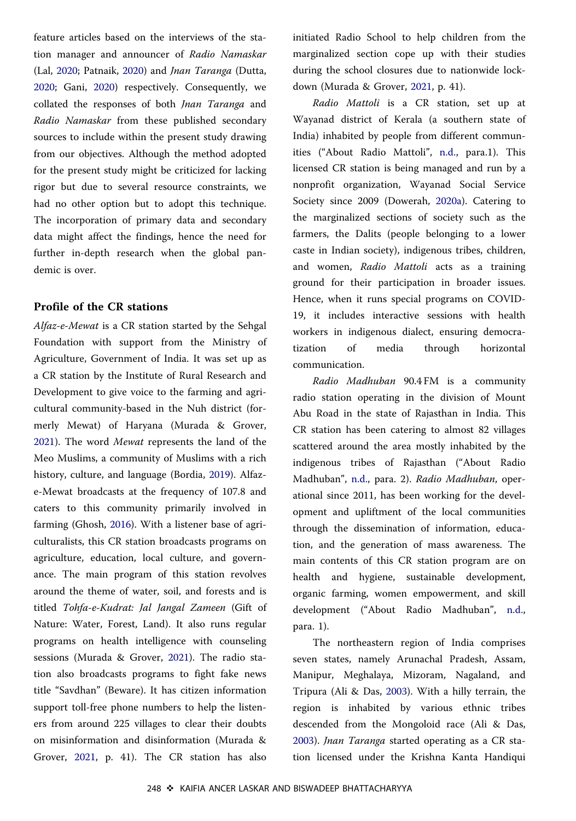<span id="page-6-0"></span>feature articles based on the interviews of the station manager and announcer of Radio Namaskar (Lal, [2020](#page-13-0); Patnaik, [2020](#page-14-0)) and Jnan Taranga (Dutta, [2020;](#page-12-0) Gani, [2020](#page-13-0)) respectively. Consequently, we collated the responses of both Jnan Taranga and Radio Namaskar from these published secondary sources to include within the present study drawing from our objectives. Although the method adopted for the present study might be criticized for lacking rigor but due to several resource constraints, we had no other option but to adopt this technique. The incorporation of primary data and secondary data might affect the findings, hence the need for further in-depth research when the global pandemic is over.

#### Profile of the CR stations

Alfaz-e-Mewat is a CR station started by the Sehgal Foundation with support from the Ministry of Agriculture, Government of India. It was set up as a CR station by the Institute of Rural Research and Development to give voice to the farming and agricultural community-based in the Nuh district (formerly Mewat) of Haryana (Murada & Grover, [2021\)](#page-14-0). The word Mewat represents the land of the Meo Muslims, a community of Muslims with a rich history, culture, and language (Bordia, [2019](#page-12-0)). Alfaze-Mewat broadcasts at the frequency of 107.8 and caters to this community primarily involved in farming (Ghosh, [2016](#page-13-0)). With a listener base of agriculturalists, this CR station broadcasts programs on agriculture, education, local culture, and governance. The main program of this station revolves around the theme of water, soil, and forests and is titled Tohfa-e-Kudrat: Jal Jangal Zameen (Gift of Nature: Water, Forest, Land). It also runs regular programs on health intelligence with counseling sessions (Murada & Grover, [2021](#page-14-0)). The radio station also broadcasts programs to fight fake news title "Savdhan" (Beware). It has citizen information support toll-free phone numbers to help the listeners from around 225 villages to clear their doubts on misinformation and disinformation (Murada & Grover, [2021,](#page-14-0) p. 41). The CR station has also

initiated Radio School to help children from the marginalized section cope up with their studies during the school closures due to nationwide lockdown (Murada & Grover, [2021,](#page-14-0) p. 41).

Radio Mattoli is a CR station, set up at Wayanad district of Kerala (a southern state of India) inhabited by people from different communities ("About Radio Mattoli", [n.d.,](#page-11-0) para.1). This licensed CR station is being managed and run by a nonprofit organization, Wayanad Social Service Society since 2009 (Dowerah, [2020a](#page-12-0)). Catering to the marginalized sections of society such as the farmers, the Dalits (people belonging to a lower caste in Indian society), indigenous tribes, children, and women, Radio Mattoli acts as a training ground for their participation in broader issues. Hence, when it runs special programs on COVID-19, it includes interactive sessions with health workers in indigenous dialect, ensuring democratization of media through horizontal communication.

Radio Madhuban 90.4 FM is a community radio station operating in the division of Mount Abu Road in the state of Rajasthan in India. This CR station has been catering to almost 82 villages scattered around the area mostly inhabited by the indigenous tribes of Rajasthan ("About Radio Madhuban", [n.d.](#page-11-0), para. 2). Radio Madhuban, operational since 2011, has been working for the development and upliftment of the local communities through the dissemination of information, education, and the generation of mass awareness. The main contents of this CR station program are on health and hygiene, sustainable development, organic farming, women empowerment, and skill development ("About Radio Madhuban", [n.d.](#page-11-0), para. 1).

The northeastern region of India comprises seven states, namely Arunachal Pradesh, Assam, Manipur, Meghalaya, Mizoram, Nagaland, and Tripura (Ali & Das, [2003\)](#page-12-0). With a hilly terrain, the region is inhabited by various ethnic tribes descended from the Mongoloid race (Ali & Das, [2003\)](#page-12-0). Jnan Taranga started operating as a CR station licensed under the Krishna Kanta Handiqui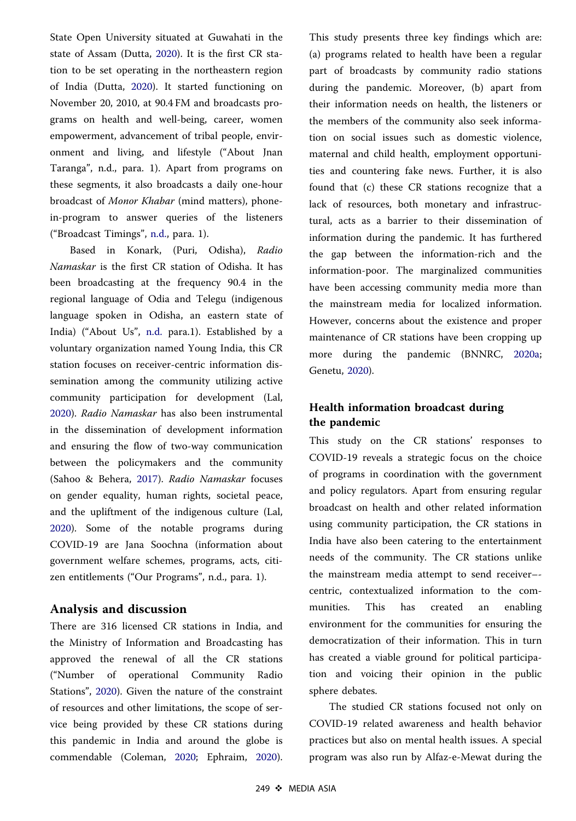<span id="page-7-0"></span>State Open University situated at Guwahati in the state of Assam (Dutta, [2020\)](#page-12-0). It is the first CR station to be set operating in the northeastern region of India (Dutta, [2020\)](#page-12-0). It started functioning on November 20, 2010, at 90.4 FM and broadcasts programs on health and well-being, career, women empowerment, advancement of tribal people, environment and living, and lifestyle ("About Jnan Taranga", n.d., para. 1). Apart from programs on these segments, it also broadcasts a daily one-hour broadcast of Monor Khabar (mind matters), phonein-program to answer queries of the listeners ("Broadcast Timings", [n.d.,](#page-12-0) para. 1).

Based in Konark, (Puri, Odisha), Radio Namaskar is the first CR station of Odisha. It has been broadcasting at the frequency 90.4 in the regional language of Odia and Telegu (indigenous language spoken in Odisha, an eastern state of India) ("About Us", [n.d.](#page-11-0) para.1). Established by a voluntary organization named Young India, this CR station focuses on receiver-centric information dissemination among the community utilizing active community participation for development (Lal, [2020\)](#page-13-0). Radio Namaskar has also been instrumental in the dissemination of development information and ensuring the flow of two-way communication between the policymakers and the community (Sahoo & Behera, [2017](#page-15-0)). Radio Namaskar focuses on gender equality, human rights, societal peace, and the upliftment of the indigenous culture (Lal, [2020\)](#page-13-0). Some of the notable programs during COVID-19 are Jana Soochna (information about government welfare schemes, programs, acts, citizen entitlements ("Our Programs", n.d., para. 1).

## Analysis and discussion

There are 316 licensed CR stations in India, and the Ministry of Information and Broadcasting has approved the renewal of all the CR stations ("Number of operational Community Radio Stations", [2020\)](#page-14-0). Given the nature of the constraint of resources and other limitations, the scope of service being provided by these CR stations during this pandemic in India and around the globe is commendable (Coleman, [2020;](#page-12-0) Ephraim, [2020](#page-12-0)). This study presents three key findings which are: (a) programs related to health have been a regular part of broadcasts by community radio stations during the pandemic. Moreover, (b) apart from their information needs on health, the listeners or the members of the community also seek information on social issues such as domestic violence, maternal and child health, employment opportunities and countering fake news. Further, it is also found that (c) these CR stations recognize that a lack of resources, both monetary and infrastructural, acts as a barrier to their dissemination of information during the pandemic. It has furthered the gap between the information-rich and the information-poor. The marginalized communities have been accessing community media more than the mainstream media for localized information. However, concerns about the existence and proper maintenance of CR stations have been cropping up more during the pandemic (BNNRC, [2020a](#page-12-0); Genetu, [2020\)](#page-13-0).

# Health information broadcast during the pandemic

This study on the CR stations' responses to COVID-19 reveals a strategic focus on the choice of programs in coordination with the government and policy regulators. Apart from ensuring regular broadcast on health and other related information using community participation, the CR stations in India have also been catering to the entertainment needs of the community. The CR stations unlike the mainstream media attempt to send receiver– centric, contextualized information to the communities. This has created an enabling environment for the communities for ensuring the democratization of their information. This in turn has created a viable ground for political participation and voicing their opinion in the public sphere debates.

The studied CR stations focused not only on COVID-19 related awareness and health behavior practices but also on mental health issues. A special program was also run by Alfaz-e-Mewat during the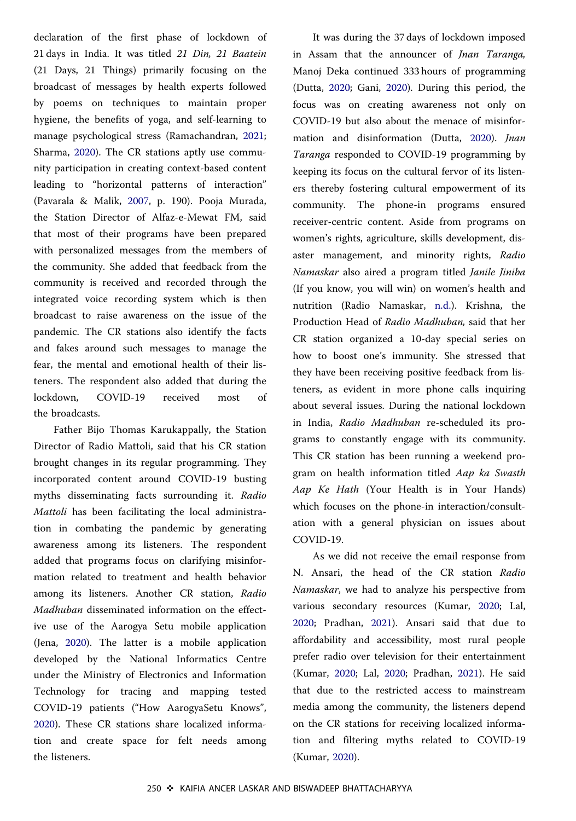<span id="page-8-0"></span>declaration of the first phase of lockdown of 21 days in India. It was titled 21 Din, 21 Baatein (21 Days, 21 Things) primarily focusing on the broadcast of messages by health experts followed by poems on techniques to maintain proper hygiene, the benefits of yoga, and self-learning to manage psychological stress (Ramachandran, [2021](#page-15-0); Sharma, [2020\)](#page-15-0). The CR stations aptly use community participation in creating context-based content leading to "horizontal patterns of interaction" (Pavarala & Malik, [2007](#page-14-0), p. 190). Pooja Murada, the Station Director of Alfaz-e-Mewat FM, said that most of their programs have been prepared with personalized messages from the members of the community. She added that feedback from the community is received and recorded through the integrated voice recording system which is then broadcast to raise awareness on the issue of the pandemic. The CR stations also identify the facts and fakes around such messages to manage the fear, the mental and emotional health of their listeners. The respondent also added that during the lockdown, COVID-19 received most of the broadcasts.

Father Bijo Thomas Karukappally, the Station Director of Radio Mattoli, said that his CR station brought changes in its regular programming. They incorporated content around COVID-19 busting myths disseminating facts surrounding it. Radio Mattoli has been facilitating the local administration in combating the pandemic by generating awareness among its listeners. The respondent added that programs focus on clarifying misinformation related to treatment and health behavior among its listeners. Another CR station, Radio Madhuban disseminated information on the effective use of the Aarogya Setu mobile application (Jena, [2020\)](#page-13-0). The latter is a mobile application developed by the National Informatics Centre under the Ministry of Electronics and Information Technology for tracing and mapping tested COVID-19 patients ("How AarogyaSetu Knows", [2020\)](#page-13-0). These CR stations share localized information and create space for felt needs among the listeners.

It was during the 37 days of lockdown imposed in Assam that the announcer of Jnan Taranga, Manoj Deka continued 333 hours of programming (Dutta, [2020;](#page-12-0) Gani, [2020\)](#page-13-0). During this period, the focus was on creating awareness not only on COVID-19 but also about the menace of misinfor-mation and disinformation (Dutta, [2020\)](#page-12-0). *Inan* Taranga responded to COVID-19 programming by keeping its focus on the cultural fervor of its listeners thereby fostering cultural empowerment of its community. The phone-in programs ensured receiver-centric content. Aside from programs on women's rights, agriculture, skills development, disaster management, and minority rights, Radio Namaskar also aired a program titled Janile Jiniba (If you know, you will win) on women's health and nutrition (Radio Namaskar, [n.d.](#page-11-0)). Krishna, the Production Head of Radio Madhuban, said that her CR station organized a 10-day special series on how to boost one's immunity. She stressed that they have been receiving positive feedback from listeners, as evident in more phone calls inquiring about several issues. During the national lockdown in India, Radio Madhuban re-scheduled its programs to constantly engage with its community. This CR station has been running a weekend program on health information titled Aap ka Swasth Aap Ke Hath (Your Health is in Your Hands) which focuses on the phone-in interaction/consultation with a general physician on issues about COVID-19.

As we did not receive the email response from N. Ansari, the head of the CR station Radio Namaskar, we had to analyze his perspective from various secondary resources (Kumar, [2020;](#page-13-0) Lal, [2020;](#page-13-0) Pradhan, [2021\)](#page-14-0). Ansari said that due to affordability and accessibility, most rural people prefer radio over television for their entertainment (Kumar, [2020;](#page-13-0) Lal, [2020](#page-13-0); Pradhan, [2021](#page-14-0)). He said that due to the restricted access to mainstream media among the community, the listeners depend on the CR stations for receiving localized information and filtering myths related to COVID-19 (Kumar, [2020](#page-13-0)).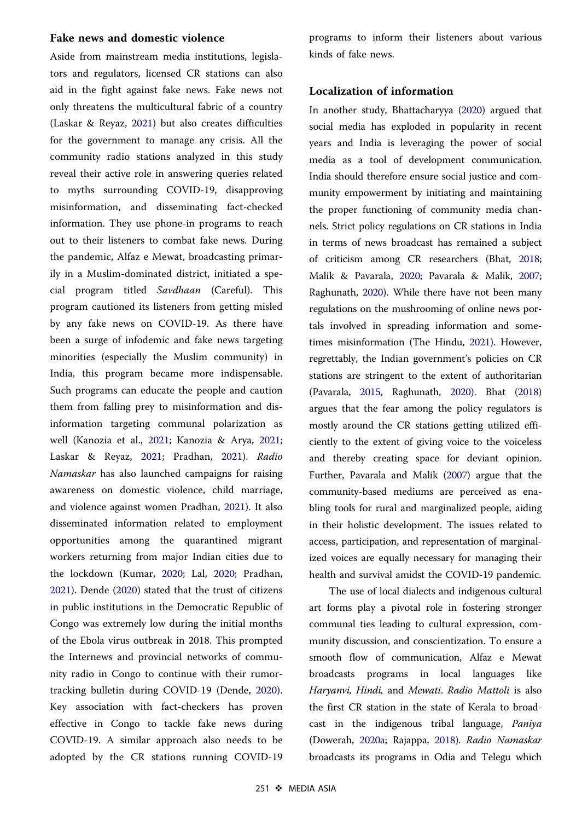#### <span id="page-9-0"></span>Fake news and domestic violence

Aside from mainstream media institutions, legislators and regulators, licensed CR stations can also aid in the fight against fake news. Fake news not only threatens the multicultural fabric of a country (Laskar & Reyaz, [2021\)](#page-13-0) but also creates difficulties for the government to manage any crisis. All the community radio stations analyzed in this study reveal their active role in answering queries related to myths surrounding COVID-19, disapproving misinformation, and disseminating fact-checked information. They use phone-in programs to reach out to their listeners to combat fake news. During the pandemic, Alfaz e Mewat, broadcasting primarily in a Muslim-dominated district, initiated a special program titled Savdhaan (Careful). This program cautioned its listeners from getting misled by any fake news on COVID-19. As there have been a surge of infodemic and fake news targeting minorities (especially the Muslim community) in India, this program became more indispensable. Such programs can educate the people and caution them from falling prey to misinformation and disinformation targeting communal polarization as well (Kanozia et al., [2021;](#page-13-0) Kanozia & Arya, [2021](#page-13-0); Laskar & Reyaz, [2021;](#page-13-0) Pradhan, [2021\)](#page-14-0). Radio Namaskar has also launched campaigns for raising awareness on domestic violence, child marriage, and violence against women Pradhan, [2021](#page-14-0)). It also disseminated information related to employment opportunities among the quarantined migrant workers returning from major Indian cities due to the lockdown (Kumar, [2020;](#page-13-0) Lal, [2020](#page-13-0); Pradhan, [2021\)](#page-14-0). Dende ([2020\)](#page-12-0) stated that the trust of citizens in public institutions in the Democratic Republic of Congo was extremely low during the initial months of the Ebola virus outbreak in 2018. This prompted the Internews and provincial networks of community radio in Congo to continue with their rumortracking bulletin during COVID-19 (Dende, [2020](#page-12-0)). Key association with fact-checkers has proven effective in Congo to tackle fake news during COVID-19. A similar approach also needs to be adopted by the CR stations running COVID-19

programs to inform their listeners about various kinds of fake news.

#### Localization of information

In another study, Bhattacharyya [\(2020\)](#page-12-0) argued that social media has exploded in popularity in recent years and India is leveraging the power of social media as a tool of development communication. India should therefore ensure social justice and community empowerment by initiating and maintaining the proper functioning of community media channels. Strict policy regulations on CR stations in India in terms of news broadcast has remained a subject of criticism among CR researchers (Bhat, [2018](#page-12-0); Malik & Pavarala, [2020;](#page-14-0) Pavarala & Malik, [2007](#page-14-0); Raghunath, [2020](#page-15-0)). While there have not been many regulations on the mushrooming of online news portals involved in spreading information and sometimes misinformation (The Hindu, [2021\)](#page-15-0). However, regrettably, the Indian government's policies on CR stations are stringent to the extent of authoritarian (Pavarala, [2015](#page-14-0), Raghunath, [2020](#page-15-0)). Bhat ([2018](#page-12-0)) argues that the fear among the policy regulators is mostly around the CR stations getting utilized efficiently to the extent of giving voice to the voiceless and thereby creating space for deviant opinion. Further, Pavarala and Malik ([2007](#page-14-0)) argue that the community-based mediums are perceived as enabling tools for rural and marginalized people, aiding in their holistic development. The issues related to access, participation, and representation of marginalized voices are equally necessary for managing their health and survival amidst the COVID-19 pandemic.

The use of local dialects and indigenous cultural art forms play a pivotal role in fostering stronger communal ties leading to cultural expression, community discussion, and conscientization. To ensure a smooth flow of communication, Alfaz e Mewat broadcasts programs in local languages like Haryanvi, Hindi, and Mewati. Radio Mattoli is also the first CR station in the state of Kerala to broadcast in the indigenous tribal language, Paniya (Dowerah, [2020a;](#page-12-0) Rajappa, [2018](#page-15-0)). Radio Namaskar broadcasts its programs in Odia and Telegu which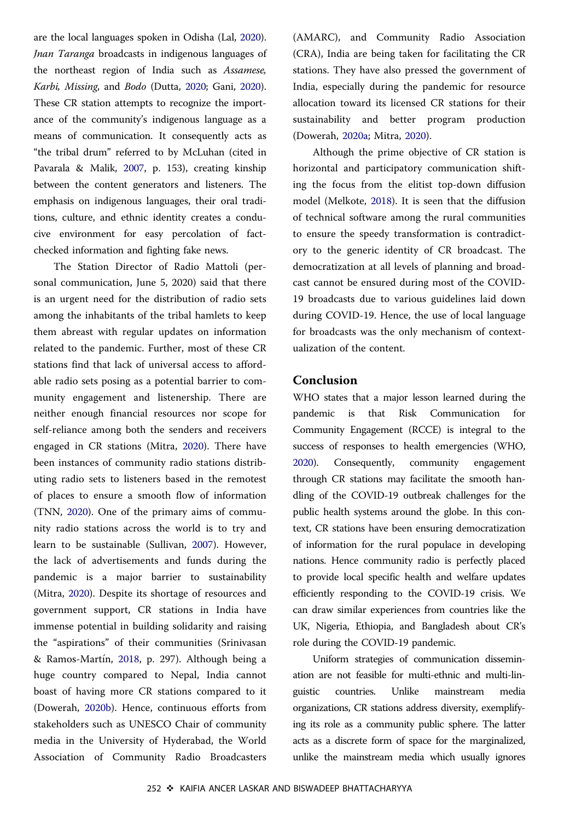<span id="page-10-0"></span>are the local languages spoken in Odisha (Lal, [2020](#page-13-0)). Jnan Taranga broadcasts in indigenous languages of the northeast region of India such as Assamese, Karbi, Missing, and Bodo (Dutta, [2020](#page-12-0); Gani, [2020](#page-13-0)). These CR station attempts to recognize the importance of the community's indigenous language as a means of communication. It consequently acts as "the tribal drum" referred to by McLuhan (cited in Pavarala & Malik, [2007](#page-14-0), p. 153), creating kinship between the content generators and listeners. The emphasis on indigenous languages, their oral traditions, culture, and ethnic identity creates a conducive environment for easy percolation of factchecked information and fighting fake news.

The Station Director of Radio Mattoli (personal communication, June 5, 2020) said that there is an urgent need for the distribution of radio sets among the inhabitants of the tribal hamlets to keep them abreast with regular updates on information related to the pandemic. Further, most of these CR stations find that lack of universal access to affordable radio sets posing as a potential barrier to community engagement and listenership. There are neither enough financial resources nor scope for self-reliance among both the senders and receivers engaged in CR stations (Mitra, [2020](#page-14-0)). There have been instances of community radio stations distributing radio sets to listeners based in the remotest of places to ensure a smooth flow of information (TNN, [2020](#page-15-0)). One of the primary aims of community radio stations across the world is to try and learn to be sustainable (Sullivan, [2007\)](#page-15-0). However, the lack of advertisements and funds during the pandemic is a major barrier to sustainability (Mitra, [2020\)](#page-14-0). Despite its shortage of resources and government support, CR stations in India have immense potential in building solidarity and raising the "aspirations" of their communities (Srinivasan & Ramos-Martín, [2018](#page-15-0), p. 297). Although being a huge country compared to Nepal, India cannot boast of having more CR stations compared to it (Dowerah, [2020b](#page-12-0)). Hence, continuous efforts from stakeholders such as UNESCO Chair of community media in the University of Hyderabad, the World Association of Community Radio Broadcasters (AMARC), and Community Radio Association (CRA), India are being taken for facilitating the CR stations. They have also pressed the government of India, especially during the pandemic for resource allocation toward its licensed CR stations for their sustainability and better program production (Dowerah, [2020a](#page-12-0); Mitra, [2020\)](#page-14-0).

Although the prime objective of CR station is horizontal and participatory communication shifting the focus from the elitist top-down diffusion model (Melkote, [2018\)](#page-14-0). It is seen that the diffusion of technical software among the rural communities to ensure the speedy transformation is contradictory to the generic identity of CR broadcast. The democratization at all levels of planning and broadcast cannot be ensured during most of the COVID-19 broadcasts due to various guidelines laid down during COVID-19. Hence, the use of local language for broadcasts was the only mechanism of contextualization of the content.

#### Conclusion

WHO states that a major lesson learned during the pandemic is that Risk Communication for Community Engagement (RCCE) is integral to the success of responses to health emergencies (WHO, [2020](#page-15-0)). Consequently, community engagement through CR stations may facilitate the smooth handling of the COVID-19 outbreak challenges for the public health systems around the globe. In this context, CR stations have been ensuring democratization of information for the rural populace in developing nations. Hence community radio is perfectly placed to provide local specific health and welfare updates efficiently responding to the COVID-19 crisis. We can draw similar experiences from countries like the UK, Nigeria, Ethiopia, and Bangladesh about CR's role during the COVID-19 pandemic.

Uniform strategies of communication dissemination are not feasible for multi-ethnic and multi-linguistic countries. Unlike mainstream media organizations, CR stations address diversity, exemplifying its role as a community public sphere. The latter acts as a discrete form of space for the marginalized, unlike the mainstream media which usually ignores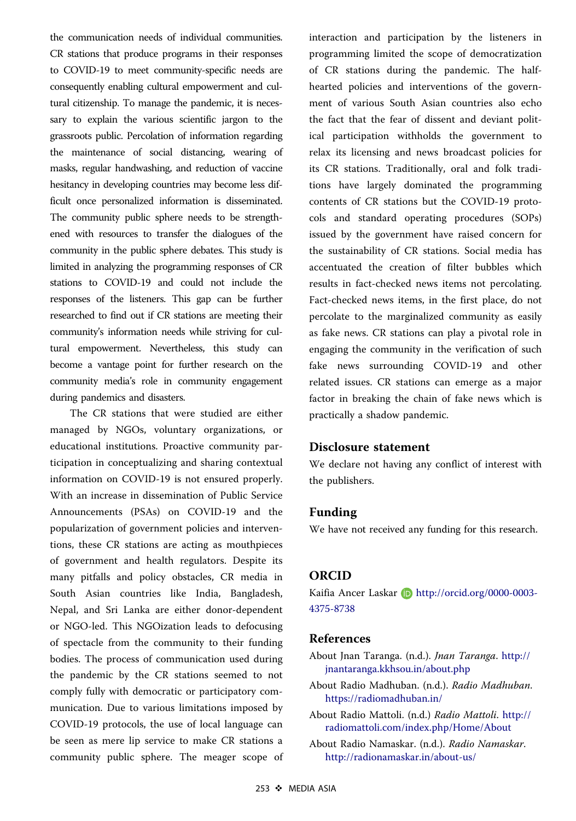<span id="page-11-0"></span>the communication needs of individual communities. CR stations that produce programs in their responses to COVID-19 to meet community-specific needs are consequently enabling cultural empowerment and cultural citizenship. To manage the pandemic, it is necessary to explain the various scientific jargon to the grassroots public. Percolation of information regarding the maintenance of social distancing, wearing of masks, regular handwashing, and reduction of vaccine hesitancy in developing countries may become less difficult once personalized information is disseminated. The community public sphere needs to be strengthened with resources to transfer the dialogues of the community in the public sphere debates. This study is limited in analyzing the programming responses of CR stations to COVID-19 and could not include the responses of the listeners. This gap can be further researched to find out if CR stations are meeting their community's information needs while striving for cultural empowerment. Nevertheless, this study can become a vantage point for further research on the community media's role in community engagement during pandemics and disasters.

The CR stations that were studied are either managed by NGOs, voluntary organizations, or educational institutions. Proactive community participation in conceptualizing and sharing contextual information on COVID-19 is not ensured properly. With an increase in dissemination of Public Service Announcements (PSAs) on COVID-19 and the popularization of government policies and interventions, these CR stations are acting as mouthpieces of government and health regulators. Despite its many pitfalls and policy obstacles, CR media in South Asian countries like India, Bangladesh, Nepal, and Sri Lanka are either donor-dependent or NGO-led. This NGOization leads to defocusing of spectacle from the community to their funding bodies. The process of communication used during the pandemic by the CR stations seemed to not comply fully with democratic or participatory communication. Due to various limitations imposed by COVID-19 protocols, the use of local language can be seen as mere lip service to make CR stations a community public sphere. The meager scope of interaction and participation by the listeners in programming limited the scope of democratization of CR stations during the pandemic. The halfhearted policies and interventions of the government of various South Asian countries also echo the fact that the fear of dissent and deviant political participation withholds the government to relax its licensing and news broadcast policies for its CR stations. Traditionally, oral and folk traditions have largely dominated the programming contents of CR stations but the COVID-19 protocols and standard operating procedures (SOPs) issued by the government have raised concern for the sustainability of CR stations. Social media has accentuated the creation of filter bubbles which results in fact-checked news items not percolating. Fact-checked news items, in the first place, do not percolate to the marginalized community as easily as fake news. CR stations can play a pivotal role in engaging the community in the verification of such fake news surrounding COVID-19 and other related issues. CR stations can emerge as a major factor in breaking the chain of fake news which is practically a shadow pandemic.

# Disclosure statement

We declare not having any conflict of interest with the publishers.

# Funding

We have not received any funding for this research.

#### ORCID

Kaifia Ancer Laskar **(b)** http://orcid.org/0000-0003-4375-8738

# References

- About Jnan Taranga. (n.d.). Jnan Taranga. [http://](http://jnantaranga.kkhsou.in/about.php) [jnantaranga.kkhsou.in/about.php](http://jnantaranga.kkhsou.in/about.php)
- About Radio Madhuban. (n.d.). Radio Madhuban. <https://radiomadhuban.in/>
- About Radio Mattoli. (n.d.) Radio Mattoli. [http://](http://radiomattoli.com/index.php/Home/About) [radiomattoli.com/index.php/Home/About](http://radiomattoli.com/index.php/Home/About)
- About Radio Namaskar. (n.d.). Radio Namaskar. <http://radionamaskar.in/about-us/>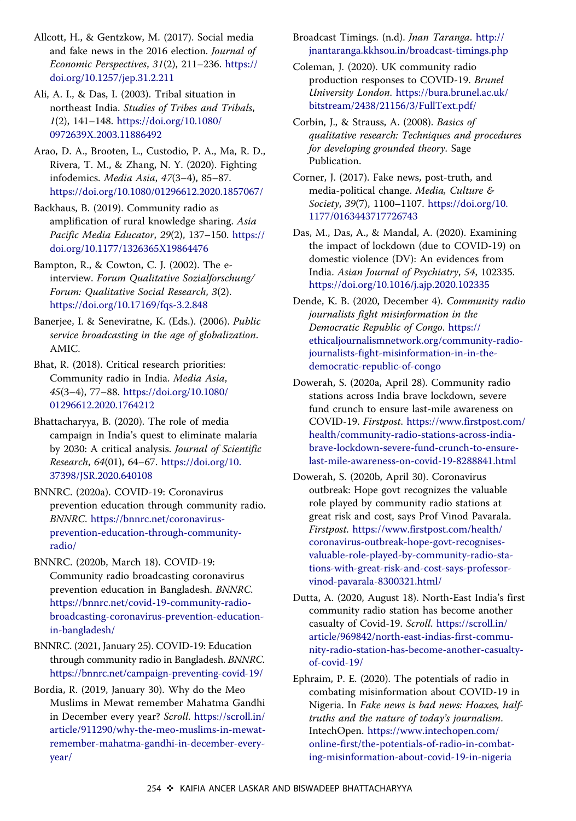<span id="page-12-0"></span>Allcott, H., & Gentzkow, M. [\(2017](#page-3-0)). Social media and fake news in the 2016 election. Journal of Economic Perspectives, 31(2), 211–236. [https://](https://doi.org/10.1257/jep.31.2.211) [doi.org/10.1257/jep.31.2.211](https://doi.org/10.1257/jep.31.2.211)

Ali, A. I., & Das, I. ([2003\)](#page-6-0). Tribal situation in northeast India. Studies of Tribes and Tribals, 1(2), 141–148. [https://doi.org/10.1080/](https://doi.org/10.1080/0972639X.2003.11886492) [0972639X.2003.11886492](https://doi.org/10.1080/0972639X.2003.11886492)

Arao, D. A., Brooten, L., Custodio, P. A., Ma, R. D., Rivera, T. M., & Zhang, N. Y. ([2020\)](#page-1-0). Fighting infodemics. Media Asia, 47(3–4), 85–87. <https://doi.org/10.1080/01296612.2020.1857067/>

Backhaus, B. ([2019\)](#page-3-0). Community radio as amplification of rural knowledge sharing. Asia Pacific Media Educator, 29(2), 137–150. [https://](https://doi.org/10.1177/1326365X19864476) [doi.org/10.1177/1326365X19864476](https://doi.org/10.1177/1326365X19864476)

Bampton, R., & Cowton, C. J. ([2002\)](#page-5-0). The einterview. Forum Qualitative Sozialforschung/ Forum: Qualitative Social Research, 3(2). <https://doi.org/10.17169/fqs-3.2.848>

Banerjee, I. & Seneviratne, K. (Eds.). ([2006\)](#page-2-0). Public service broadcasting in the age of globalization. AMIC.

Bhat, R. [\(2018](#page-3-0)). Critical research priorities: Community radio in India. Media Asia, 45(3–4), 77–88. [https://doi.org/10.1080/](https://doi.org/10.1080/01296612.2020.1764212) [01296612.2020.1764212](https://doi.org/10.1080/01296612.2020.1764212)

Bhattacharyya, B. ([2020\)](#page-9-0). The role of media campaign in India's quest to eliminate malaria by 2030: A critical analysis. Journal of Scientific Research, 64(01), 64–67. [https://doi.org/10.](https://doi.org/10.37398/JSR.2020.640108) [37398/JSR.2020.640108](https://doi.org/10.37398/JSR.2020.640108)

BNNRC. ([2020a](#page-2-0)). COVID-19: Coronavirus prevention education through community radio. BNNRC. [https://bnnrc.net/coronavirus](https://bnnrc.net/coronavirus-prevention-education-through-community-radio/)[prevention-education-through-community](https://bnnrc.net/coronavirus-prevention-education-through-community-radio/)[radio/](https://bnnrc.net/coronavirus-prevention-education-through-community-radio/)

BNNRC. ([2020b,](#page-2-0) March 18). COVID-19: Community radio broadcasting coronavirus prevention education in Bangladesh. BNNRC. [https://bnnrc.net/covid-19-community-radio](https://bnnrc.net/covid-19-community-radio-broadcasting-coronavirus-prevention-education-in-bangladesh/)[broadcasting-coronavirus-prevention-education](https://bnnrc.net/covid-19-community-radio-broadcasting-coronavirus-prevention-education-in-bangladesh/)[in-bangladesh/](https://bnnrc.net/covid-19-community-radio-broadcasting-coronavirus-prevention-education-in-bangladesh/)

BNNRC. [\(2021](#page-2-0), January 25). COVID-19: Education through community radio in Bangladesh. BNNRC. <https://bnnrc.net/campaign-preventing-covid-19/>

Bordia, R. ([2019,](#page-6-0) January 30). Why do the Meo Muslims in Mewat remember Mahatma Gandhi in December every year? Scroll. [https://scroll.in/](https://scroll.in/article/911290/why-the-meo-muslims-in-mewat-remember-mahatma-gandhi-in-december-every-year/) [article/911290/why-the-meo-muslims-in-mewat](https://scroll.in/article/911290/why-the-meo-muslims-in-mewat-remember-mahatma-gandhi-in-december-every-year/)[remember-mahatma-gandhi-in-december-every](https://scroll.in/article/911290/why-the-meo-muslims-in-mewat-remember-mahatma-gandhi-in-december-every-year/)[year/](https://scroll.in/article/911290/why-the-meo-muslims-in-mewat-remember-mahatma-gandhi-in-december-every-year/)

Broadcast Timings. (n.d). Jnan Taranga. [http://](http://jnantaranga.kkhsou.in/broadcast-timings.php) [jnantaranga.kkhsou.in/broadcast-timings.php](http://jnantaranga.kkhsou.in/broadcast-timings.php)

Coleman, J. ([2020\)](#page-2-0). UK community radio production responses to COVID-19. Brunel University London. [https://bura.brunel.ac.uk/](https://bura.brunel.ac.uk/bitstream/2438/21156/3/FullText.pdf/) [bitstream/2438/21156/3/FullText.pdf/](https://bura.brunel.ac.uk/bitstream/2438/21156/3/FullText.pdf/)

Corbin, J., & Strauss, A. [\(2008](#page-5-0)). Basics of qualitative research: Techniques and procedures for developing grounded theory. Sage Publication.

Corner, J. ([2017\)](#page-3-0). Fake news, post-truth, and media-political change. Media, Culture & Society, 39(7), 1100–1107. [https://doi.org/10.](https://doi.org/10.1177/0163443717726743) [1177/0163443717726743](https://doi.org/10.1177/0163443717726743)

Das, M., Das, A., & Mandal, A. [\(2020](#page-3-0)). Examining the impact of lockdown (due to COVID-19) on domestic violence (DV): An evidences from India. Asian Journal of Psychiatry, 54, 102335. <https://doi.org/10.1016/j.ajp.2020.102335>

Dende, K. B. [\(2020](#page-9-0), December 4). Community radio journalists fight misinformation in the Democratic Republic of Congo. [https://](https://ethicaljournalismnetwork.org/community-radio-journalists-fight-misinformation-in-in-the-democratic-republic-of-congo) [ethicaljournalismnetwork.org/community-radio](https://ethicaljournalismnetwork.org/community-radio-journalists-fight-misinformation-in-in-the-democratic-republic-of-congo)[journalists-fight-misinformation-in-in-the](https://ethicaljournalismnetwork.org/community-radio-journalists-fight-misinformation-in-in-the-democratic-republic-of-congo)[democratic-republic-of-congo](https://ethicaljournalismnetwork.org/community-radio-journalists-fight-misinformation-in-in-the-democratic-republic-of-congo)

Dowerah, S. ([2020a](#page-4-0), April 28). Community radio stations across India brave lockdown, severe fund crunch to ensure last-mile awareness on COVID-19. Firstpost. [https://www.firstpost.com/](https://www.firstpost.com/health/community-radio-stations-across-india-brave-lockdown-severe-fund-crunch-to-ensure-last-mile-awareness-on-covid-19-8288841.html) [health/community-radio-stations-across-india](https://www.firstpost.com/health/community-radio-stations-across-india-brave-lockdown-severe-fund-crunch-to-ensure-last-mile-awareness-on-covid-19-8288841.html)[brave-lockdown-severe-fund-crunch-to-ensure](https://www.firstpost.com/health/community-radio-stations-across-india-brave-lockdown-severe-fund-crunch-to-ensure-last-mile-awareness-on-covid-19-8288841.html)[last-mile-awareness-on-covid-19-8288841.html](https://www.firstpost.com/health/community-radio-stations-across-india-brave-lockdown-severe-fund-crunch-to-ensure-last-mile-awareness-on-covid-19-8288841.html)

Dowerah, S. ([2020b,](#page-4-0) April 30). Coronavirus outbreak: Hope govt recognizes the valuable role played by community radio stations at great risk and cost, says Prof Vinod Pavarala. Firstpost. [https://www.firstpost.com/health/](https://www.firstpost.com/health/coronavirus-outbreak-hope-govt-recognises-valuable-role-played-by-community-radio-stations-with-great-risk-and-cost-says-professor-vinod-pavarala-8300321.html/) [coronavirus-outbreak-hope-govt-recognises](https://www.firstpost.com/health/coronavirus-outbreak-hope-govt-recognises-valuable-role-played-by-community-radio-stations-with-great-risk-and-cost-says-professor-vinod-pavarala-8300321.html/)[valuable-role-played-by-community-radio-sta](https://www.firstpost.com/health/coronavirus-outbreak-hope-govt-recognises-valuable-role-played-by-community-radio-stations-with-great-risk-and-cost-says-professor-vinod-pavarala-8300321.html/)[tions-with-great-risk-and-cost-says-professor](https://www.firstpost.com/health/coronavirus-outbreak-hope-govt-recognises-valuable-role-played-by-community-radio-stations-with-great-risk-and-cost-says-professor-vinod-pavarala-8300321.html/)[vinod-pavarala-8300321.html/](https://www.firstpost.com/health/coronavirus-outbreak-hope-govt-recognises-valuable-role-played-by-community-radio-stations-with-great-risk-and-cost-says-professor-vinod-pavarala-8300321.html/)

Dutta, A. ([2020,](#page-4-0) August 18). North-East India's first community radio station has become another casualty of Covid-19. Scroll. [https://scroll.in/](https://scroll.in/article/969842/north-east-indias-first-community-radio-station-has-become-another-casualty-of-covid-19/) [article/969842/north-east-indias-first-commu](https://scroll.in/article/969842/north-east-indias-first-community-radio-station-has-become-another-casualty-of-covid-19/)[nity-radio-station-has-become-another-casualty](https://scroll.in/article/969842/north-east-indias-first-community-radio-station-has-become-another-casualty-of-covid-19/)[of-covid-19/](https://scroll.in/article/969842/north-east-indias-first-community-radio-station-has-become-another-casualty-of-covid-19/)

Ephraim, P. E. ([2020\)](#page-2-0). The potentials of radio in combating misinformation about COVID-19 in Nigeria. In Fake news is bad news: Hoaxes, halftruths and the nature of today's journalism. IntechOpen. [https://www.intechopen.com/](https://www.intechopen.com/online-first/the-potentials-of-radio-in-combating-misinformation-about-covid-19-in-nigeria) [online-first/the-potentials-of-radio-in-combat](https://www.intechopen.com/online-first/the-potentials-of-radio-in-combating-misinformation-about-covid-19-in-nigeria)[ing-misinformation-about-covid-19-in-nigeria](https://www.intechopen.com/online-first/the-potentials-of-radio-in-combating-misinformation-about-covid-19-in-nigeria)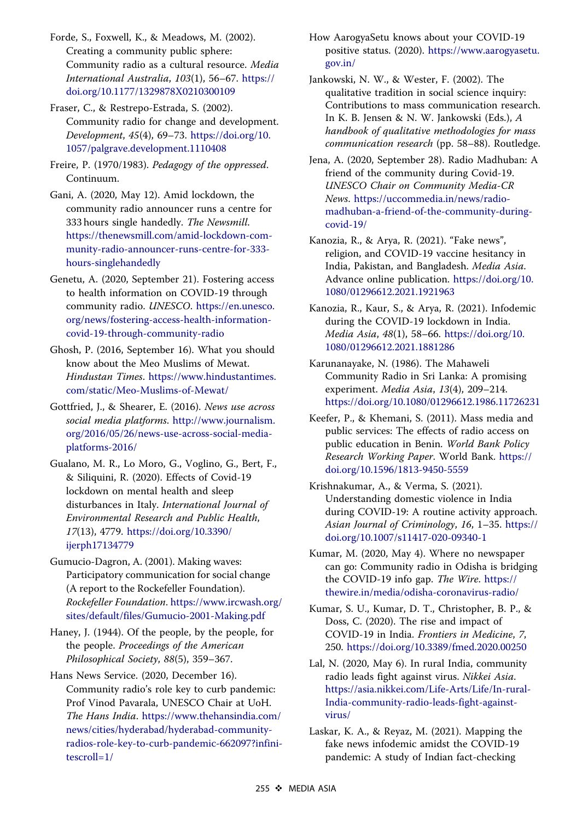<span id="page-13-0"></span>Forde, S., Foxwell, K., & Meadows, M. [\(2002](#page-2-0)). Creating a community public sphere: Community radio as a cultural resource. Media International Australia, 103(1), 56–67. [https://](https://doi.org/10.1177/1329878X0210300109) [doi.org/10.1177/1329878X0210300109](https://doi.org/10.1177/1329878X0210300109)

- Fraser, C., & Restrepo-Estrada, S. ([2002\)](#page-2-0). Community radio for change and development. Development, 45(4), 69–73. [https://doi.org/10.](https://doi.org/10.1057/palgrave.development.1110408) [1057/palgrave.development.1110408](https://doi.org/10.1057/palgrave.development.1110408)
- Freire, P. (1970/1983). Pedagogy of the oppressed. Continuum.
- Gani, A. [\(2020](#page-6-0), May 12). Amid lockdown, the community radio announcer runs a centre for 333 hours single handedly. The Newsmill. [https://thenewsmill.com/amid-lockdown-com](https://thenewsmill.com/amid-lockdown-community-radio-announcer-runs-centre-for-333-hours-singlehandedly)[munity-radio-announcer-runs-centre-for-333](https://thenewsmill.com/amid-lockdown-community-radio-announcer-runs-centre-for-333-hours-singlehandedly) [hours-singlehandedly](https://thenewsmill.com/amid-lockdown-community-radio-announcer-runs-centre-for-333-hours-singlehandedly)
- Genetu, A. ([2020,](#page-2-0) September 21). Fostering access to health information on COVID-19 through community radio. UNESCO. [https://en.unesco.](https://en.unesco.org/news/fostering-access-health-information-covid-19-through-community-radio) [org/news/fostering-access-health-information](https://en.unesco.org/news/fostering-access-health-information-covid-19-through-community-radio)[covid-19-through-community-radio](https://en.unesco.org/news/fostering-access-health-information-covid-19-through-community-radio)
- Ghosh, P. ([2016,](#page-6-0) September 16). What you should know about the Meo Muslims of Mewat. Hindustan Times. [https://www.hindustantimes.](https://www.hindustantimes.com/static/Meo-Muslims-of-Mewat/) [com/static/Meo-Muslims-of-Mewat/](https://www.hindustantimes.com/static/Meo-Muslims-of-Mewat/)
- Gottfried, J., & Shearer, E. [\(2016](#page-3-0)). News use across social media platforms. [http://www.journalism.](http://www.journalism.org/2016/05/26/news-use-across-social-media-platforms-2016/) [org/2016/05/26/news-use-across-social-media](http://www.journalism.org/2016/05/26/news-use-across-social-media-platforms-2016/)[platforms-2016/](http://www.journalism.org/2016/05/26/news-use-across-social-media-platforms-2016/)
- Gualano, M. R., Lo Moro, G., Voglino, G., Bert, F., & Siliquini, R. [\(2020](#page-3-0)). Effects of Covid-19 lockdown on mental health and sleep disturbances in Italy. International Journal of Environmental Research and Public Health, 17(13), 4779. [https://doi.org/10.3390/](https://doi.org/10.3390/ijerph17134779) [ijerph17134779](https://doi.org/10.3390/ijerph17134779)
- Gumucio-Dagron, A. ([2001\)](#page-2-0). Making waves: Participatory communication for social change (A report to the Rockefeller Foundation). Rockefeller Foundation. [https://www.ircwash.org/](https://www.ircwash.org/sites/default/files/Gumucio-2001-Making.pdf) [sites/default/files/Gumucio-2001-Making.pdf](https://www.ircwash.org/sites/default/files/Gumucio-2001-Making.pdf)
- Haney, J. ([1944\)](#page-2-0). Of the people, by the people, for the people. Proceedings of the American Philosophical Society, 88(5), 359–367.
- Hans News Service. [\(2020](#page-3-0), December 16). Community radio's role key to curb pandemic: Prof Vinod Pavarala, UNESCO Chair at UoH. The Hans India. [https://www.thehansindia.com/](https://www.thehansindia.com/news/cities/hyderabad/hyderabad-community-radios-role-key-to-curb-pandemic-662097?infinitescroll=1/) [news/cities/hyderabad/hyderabad-community](https://www.thehansindia.com/news/cities/hyderabad/hyderabad-community-radios-role-key-to-curb-pandemic-662097?infinitescroll=1/)[radios-role-key-to-curb-pandemic-662097?infini](https://www.thehansindia.com/news/cities/hyderabad/hyderabad-community-radios-role-key-to-curb-pandemic-662097?infinitescroll=1/)[tescroll=1/](https://www.thehansindia.com/news/cities/hyderabad/hyderabad-community-radios-role-key-to-curb-pandemic-662097?infinitescroll=1/)
- How AarogyaSetu knows about your COVID-19 positive status. ([2020\)](#page-8-0). [https://www.aarogyasetu.](https://www.aarogyasetu.gov.in/) [gov.in/](https://www.aarogyasetu.gov.in/)
- Jankowski, N. W., & Wester, F. (2002). The qualitative tradition in social science inquiry: Contributions to mass communication research. In K. B. Jensen & N. W. Jankowski (Eds.), A handbook of qualitative methodologies for mass communication research (pp. 58–88). Routledge.
- Jena, A. [\(2020](#page-8-0), September 28). Radio Madhuban: A friend of the community during Covid-19. UNESCO Chair on Community Media-CR News. [https://uccommedia.in/news/radio](https://uccommedia.in/news/radio-madhuban-a-friend-of-the-community-during-covid-19/)[madhuban-a-friend-of-the-community-during](https://uccommedia.in/news/radio-madhuban-a-friend-of-the-community-during-covid-19/)[covid-19/](https://uccommedia.in/news/radio-madhuban-a-friend-of-the-community-during-covid-19/)
- Kanozia, R., & Arya, R. [\(2021](#page-1-0)). "Fake news", religion, and COVID-19 vaccine hesitancy in India, Pakistan, and Bangladesh. Media Asia. Advance online publication. [https://doi.org/10.](https://doi.org/10.1080/01296612.2021.1921963) [1080/01296612.2021.1921963](https://doi.org/10.1080/01296612.2021.1921963)
- Kanozia, R., Kaur, S., & Arya, R. ([2021\)](#page-1-0). Infodemic during the COVID-19 lockdown in India. Media Asia, 48(1), 58–66. [https://doi.org/10.](https://doi.org/10.1080/01296612.2021.1881286) [1080/01296612.2021.1881286](https://doi.org/10.1080/01296612.2021.1881286)
- Karunanayake, N. (1986). The Mahaweli Community Radio in Sri Lanka: A promising experiment. Media Asia, 13(4), 209–214. <https://doi.org/10.1080/01296612.1986.11726231>
- Keefer, P., & Khemani, S. [\(2011](#page-2-0)). Mass media and public services: The effects of radio access on public education in Benin. World Bank Policy Research Working Paper. World Bank. [https://](https://doi.org/10.1596/1813-9450-5559) [doi.org/10.1596/1813-9450-5559](https://doi.org/10.1596/1813-9450-5559)
- Krishnakumar, A., & Verma, S. [\(2021](#page-3-0)). Understanding domestic violence in India during COVID-19: A routine activity approach. Asian Journal of Criminology, 16, 1–35. [https://](https://doi.org/10.1007/s11417-020-09340-1) [doi.org/10.1007/s11417-020-09340-1](https://doi.org/10.1007/s11417-020-09340-1)
- Kumar, M. [\(2020](#page-8-0), May 4). Where no newspaper can go: Community radio in Odisha is bridging the COVID-19 info gap. The Wire. [https://](https://thewire.in/media/odisha-coronavirus-radio/) [thewire.in/media/odisha-coronavirus-radio/](https://thewire.in/media/odisha-coronavirus-radio/)
- Kumar, S. U., Kumar, D. T., Christopher, B. P., & Doss, C. [\(2020](#page-1-0)). The rise and impact of COVID-19 in India. Frontiers in Medicine, 7, 250. <https://doi.org/10.3389/fmed.2020.00250>
- Lal, N. [\(2020](#page-4-0), May 6). In rural India, community radio leads fight against virus. Nikkei Asia. [https://asia.nikkei.com/Life-Arts/Life/In-rural-](https://asia.nikkei.com/Life-Arts/Life/In-rural-India-community-radio-leads-fight-against-virus/)[India-community-radio-leads-fight-against](https://asia.nikkei.com/Life-Arts/Life/In-rural-India-community-radio-leads-fight-against-virus/)[virus/](https://asia.nikkei.com/Life-Arts/Life/In-rural-India-community-radio-leads-fight-against-virus/)
- Laskar, K. A., & Reyaz, M. [\(2021](#page-1-0)). Mapping the fake news infodemic amidst the COVID-19 pandemic: A study of Indian fact-checking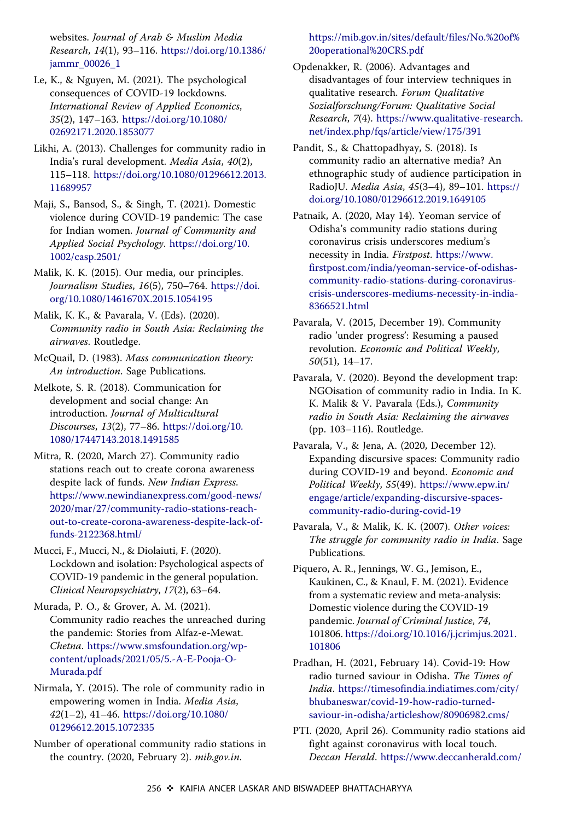<span id="page-14-0"></span>websites. Journal of Arab & Muslim Media Research, 14(1), 93–116. [https://doi.org/10.1386/](https://doi.org/10.1386/jammr_00026_1) [jammr\\_00026\\_1](https://doi.org/10.1386/jammr_00026_1)

- Le, K., & Nguyen, M. ([2021\)](#page-3-0). The psychological consequences of COVID-19 lockdowns. International Review of Applied Economics, 35(2), 147–163. [https://doi.org/10.1080/](https://doi.org/10.1080/02692171.2020.1853077) [02692171.2020.1853077](https://doi.org/10.1080/02692171.2020.1853077)
- Likhi, A. ([2013\)](#page-4-0). Challenges for community radio in India's rural development. Media Asia, 40(2), 115–118. [https://doi.org/10.1080/01296612.2013.](https://doi.org/10.1080/01296612.2013.11689957) [11689957](https://doi.org/10.1080/01296612.2013.11689957)
- Maji, S., Bansod, S., & Singh, T. [\(2021](#page-3-0)). Domestic violence during COVID-19 pandemic: The case for Indian women. Journal of Community and Applied Social Psychology. [https://doi.org/10.](https://doi.org/10.1002/casp.2501/) [1002/casp.2501/](https://doi.org/10.1002/casp.2501/)
- Malik, K. K. ([2015\)](#page-2-0). Our media, our principles. Journalism Studies, 16(5), 750–764. [https://doi.](https://doi.org/10.1080/1461670X.2015.1054195) [org/10.1080/1461670X.2015.1054195](https://doi.org/10.1080/1461670X.2015.1054195)
- Malik, K. K., & Pavarala, V. (Eds). ([2020\)](#page-2-0). Community radio in South Asia: Reclaiming the airwaves. Routledge.
- McQuail, D. ([1983\)](#page-2-0). Mass communication theory: An introduction. Sage Publications.
- Melkote, S. R. [\(2018](#page-10-0)). Communication for development and social change: An introduction. Journal of Multicultural Discourses, 13(2), 77–86. [https://doi.org/10.](https://doi.org/10.1080/17447143.2018.1491585) [1080/17447143.2018.1491585](https://doi.org/10.1080/17447143.2018.1491585)
- Mitra, R. [\(2020](#page-2-0), March 27). Community radio stations reach out to create corona awareness despite lack of funds. New Indian Express. [https://www.newindianexpress.com/good-news/](https://www.newindianexpress.com/good-news/2020/mar/27/community-radio-stations-reach-out-to-create-corona-awareness-despite-lack-of-funds-2122368.html/) [2020/mar/27/community-radio-stations-reach](https://www.newindianexpress.com/good-news/2020/mar/27/community-radio-stations-reach-out-to-create-corona-awareness-despite-lack-of-funds-2122368.html/)[out-to-create-corona-awareness-despite-lack-of](https://www.newindianexpress.com/good-news/2020/mar/27/community-radio-stations-reach-out-to-create-corona-awareness-despite-lack-of-funds-2122368.html/)[funds-2122368.html/](https://www.newindianexpress.com/good-news/2020/mar/27/community-radio-stations-reach-out-to-create-corona-awareness-despite-lack-of-funds-2122368.html/)
- Mucci, F., Mucci, N., & Diolaiuti, F. [\(2020](#page-3-0)). Lockdown and isolation: Psychological aspects of COVID-19 pandemic in the general population. Clinical Neuropsychiatry, 17(2), 63–64.
- Murada, P. O., & Grover, A. M. [\(2021](#page-2-0)). Community radio reaches the unreached during the pandemic: Stories from Alfaz-e-Mewat. Chetna. [https://www.smsfoundation.org/wp](https://www.smsfoundation.org/wp-content/uploads/2021/05/5.-A-E-Pooja-O-Murada.pdf)[content/uploads/2021/05/5.-A-E-Pooja-O-](https://www.smsfoundation.org/wp-content/uploads/2021/05/5.-A-E-Pooja-O-Murada.pdf)[Murada.pdf](https://www.smsfoundation.org/wp-content/uploads/2021/05/5.-A-E-Pooja-O-Murada.pdf)
- Nirmala, Y. ([2015\)](#page-3-0). The role of community radio in empowering women in India. Media Asia, 42(1–2), 41–46. [https://doi.org/10.1080/](https://doi.org/10.1080/01296612.2015.1072335) [01296612.2015.1072335](https://doi.org/10.1080/01296612.2015.1072335)
- Number of operational community radio stations in the country. ([2020,](#page-7-0) February 2). mib.gov.in.

# [https://mib.gov.in/sites/default/files/No.%20of%](https://mib.gov.in/sites/default/files/No.%20of%20operational%20CRS.pdf) [20operational%20CRS.pdf](https://mib.gov.in/sites/default/files/No.%20of%20operational%20CRS.pdf)

- Opdenakker, R. [\(2006](#page-5-0)). Advantages and disadvantages of four interview techniques in qualitative research. Forum Qualitative Sozialforschung/Forum: Qualitative Social Research, 7(4). [https://www.qualitative-research.](https://www.qualitative-research.net/index.php/fqs/article/view/175/391) [net/index.php/fqs/article/view/175/391](https://www.qualitative-research.net/index.php/fqs/article/view/175/391)
- Pandit, S., & Chattopadhyay, S. ([2018\)](#page-4-0). Is community radio an alternative media? An ethnographic study of audience participation in RadioJU. Media Asia, 45(3–4), 89–101. [https://](https://doi.org/10.1080/01296612.2019.1649105) [doi.org/10.1080/01296612.2019.1649105](https://doi.org/10.1080/01296612.2019.1649105)
- Patnaik, A. ([2020,](#page-4-0) May 14). Yeoman service of Odisha's community radio stations during coronavirus crisis underscores medium's necessity in India. Firstpost. [https://www.](https://www.firstpost.com/india/yeoman-service-of-odishas-community-radio-stations-during-coronavirus-crisis-underscores-mediums-necessity-in-india-8366521.html) [firstpost.com/india/yeoman-service-of-odishas](https://www.firstpost.com/india/yeoman-service-of-odishas-community-radio-stations-during-coronavirus-crisis-underscores-mediums-necessity-in-india-8366521.html)[community-radio-stations-during-coronavirus](https://www.firstpost.com/india/yeoman-service-of-odishas-community-radio-stations-during-coronavirus-crisis-underscores-mediums-necessity-in-india-8366521.html)[crisis-underscores-mediums-necessity-in-india-](https://www.firstpost.com/india/yeoman-service-of-odishas-community-radio-stations-during-coronavirus-crisis-underscores-mediums-necessity-in-india-8366521.html)[8366521.html](https://www.firstpost.com/india/yeoman-service-of-odishas-community-radio-stations-during-coronavirus-crisis-underscores-mediums-necessity-in-india-8366521.html)
- Pavarala, V. ([2015,](#page-3-0) December 19). Community radio 'under progress': Resuming a paused revolution. Economic and Political Weekly, 50(51), 14–17.
- Pavarala, V. (2020). Beyond the development trap: NGOisation of community radio in India. In K. K. Malik & V. Pavarala (Eds.), Community radio in South Asia: Reclaiming the airwaves (pp. 103–116). Routledge.
- Pavarala, V., & Jena, A. [\(2020](#page-2-0), December 12). Expanding discursive spaces: Community radio during COVID-19 and beyond. Economic and Political Weekly, 55(49). [https://www.epw.in/](https://www.epw.in/engage/article/expanding-discursive-spaces-community-radio-during-covid-19) [engage/article/expanding-discursive-spaces](https://www.epw.in/engage/article/expanding-discursive-spaces-community-radio-during-covid-19)[community-radio-during-covid-19](https://www.epw.in/engage/article/expanding-discursive-spaces-community-radio-during-covid-19)
- Pavarala, V., & Malik, K. K. ([2007\)](#page-2-0). Other voices: The struggle for community radio in India. Sage Publications.
- Piquero, A. R., Jennings, W. G., Jemison, E., Kaukinen, C., & Knaul, F. M. ([2021\)](#page-3-0). Evidence from a systematic review and meta-analysis: Domestic violence during the COVID-19 pandemic. Journal of Criminal Justice, 74, 101806. [https://doi.org/10.1016/j.jcrimjus.2021.](https://doi.org/10.1016/j.jcrimjus.2021.101806) [101806](https://doi.org/10.1016/j.jcrimjus.2021.101806)
- Pradhan, H. ([2021,](#page-8-0) February 14). Covid-19: How radio turned saviour in Odisha. The Times of India. [https://timesofindia.indiatimes.com/city/](https://timesofindia.indiatimes.com/city/bhubaneswar/covid-19-how-radio-turned-saviour-in-odisha/articleshow/80906982.cms/) [bhubaneswar/covid-19-how-radio-turned](https://timesofindia.indiatimes.com/city/bhubaneswar/covid-19-how-radio-turned-saviour-in-odisha/articleshow/80906982.cms/)[saviour-in-odisha/articleshow/80906982.cms/](https://timesofindia.indiatimes.com/city/bhubaneswar/covid-19-how-radio-turned-saviour-in-odisha/articleshow/80906982.cms/)
- PTI. [\(2020](#page-2-0), April 26). Community radio stations aid fight against coronavirus with local touch. Deccan Herald. [https://www.deccanherald.com/](https://www.deccanherald.com/national/community-radio-stations-aid-fight-against-coronavirus-with-local-touch-830214.html/)